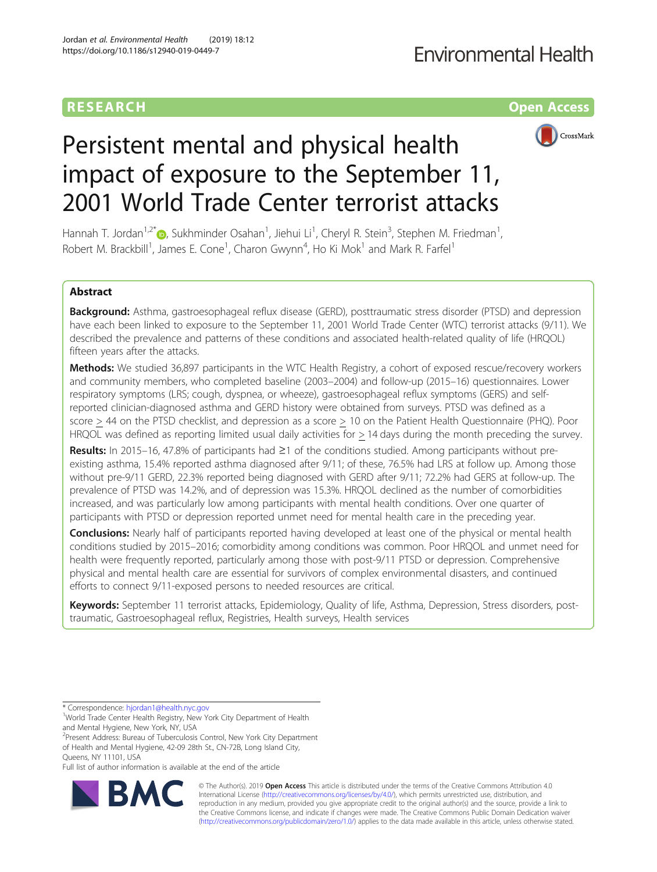# **RESEARCH CHINESE ARCH CHINESE ARCHITECT ARCHITECT ARCHITECT ARCHITECT ARCHITECT ARCHITECT ARCHITECT ARCHITECT ARCHITECT ARCHITECT ARCHITECT ARCHITECT ARCHITECT ARCHITECT ARCHITECT ARCHITECT ARCHITECT ARCHITECT ARCHITE**



# Persistent mental and physical health impact of exposure to the September 11, 2001 World Trade Center terrorist attacks

Hannah T. Jordan<sup>1[,](http://orcid.org/0000-0003-3705-9551)2\*</sup>�, Sukhminder Osahan<sup>1</sup>, Jiehui Li<sup>1</sup>, Cheryl R. Stein<sup>3</sup>, Stephen M. Friedman<sup>1</sup> , Robert M. Brackbill<sup>1</sup>, James E. Cone<sup>1</sup>, Charon Gwynn<sup>4</sup>, Ho Ki Mok<sup>1</sup> and Mark R. Farfel<sup>1</sup>

## Abstract

Background: Asthma, gastroesophageal reflux disease (GERD), posttraumatic stress disorder (PTSD) and depression have each been linked to exposure to the September 11, 2001 World Trade Center (WTC) terrorist attacks (9/11). We described the prevalence and patterns of these conditions and associated health-related quality of life (HRQOL) fifteen years after the attacks.

Methods: We studied 36,897 participants in the WTC Health Registry, a cohort of exposed rescue/recovery workers and community members, who completed baseline (2003–2004) and follow-up (2015–16) questionnaires. Lower respiratory symptoms (LRS; cough, dyspnea, or wheeze), gastroesophageal reflux symptoms (GERS) and selfreported clinician-diagnosed asthma and GERD history were obtained from surveys. PTSD was defined as a score > 44 on the PTSD checklist, and depression as a score > 10 on the Patient Health Questionnaire (PHQ). Poor HRQOL was defined as reporting limited usual daily activities for > 14 days during the month preceding the survey.

Results: In 2015–16, 47.8% of participants had ≥1 of the conditions studied. Among participants without preexisting asthma, 15.4% reported asthma diagnosed after 9/11; of these, 76.5% had LRS at follow up. Among those without pre-9/11 GERD, 22.3% reported being diagnosed with GERD after 9/11; 72.2% had GERS at follow-up. The prevalence of PTSD was 14.2%, and of depression was 15.3%. HRQOL declined as the number of comorbidities increased, and was particularly low among participants with mental health conditions. Over one quarter of participants with PTSD or depression reported unmet need for mental health care in the preceding year.

**Conclusions:** Nearly half of participants reported having developed at least one of the physical or mental health conditions studied by 2015–2016; comorbidity among conditions was common. Poor HRQOL and unmet need for health were frequently reported, particularly among those with post-9/11 PTSD or depression. Comprehensive physical and mental health care are essential for survivors of complex environmental disasters, and continued efforts to connect 9/11-exposed persons to needed resources are critical.

Keywords: September 11 terrorist attacks, Epidemiology, Quality of life, Asthma, Depression, Stress disorders, posttraumatic, Gastroesophageal reflux, Registries, Health surveys, Health services

\* Correspondence: [hjordan1@health.nyc.gov](mailto:hjordan1@health.nyc.gov) <sup>1</sup>

2 Present Address: Bureau of Tuberculosis Control, New York City Department of Health and Mental Hygiene, 42-09 28th St., CN-72B, Long Island City, Queens, NY 11101, USA

Full list of author information is available at the end of the article



© The Author(s). 2019 **Open Access** This article is distributed under the terms of the Creative Commons Attribution 4.0 International License [\(http://creativecommons.org/licenses/by/4.0/](http://creativecommons.org/licenses/by/4.0/)), which permits unrestricted use, distribution, and reproduction in any medium, provided you give appropriate credit to the original author(s) and the source, provide a link to the Creative Commons license, and indicate if changes were made. The Creative Commons Public Domain Dedication waiver [\(http://creativecommons.org/publicdomain/zero/1.0/](http://creativecommons.org/publicdomain/zero/1.0/)) applies to the data made available in this article, unless otherwise stated.

<sup>&</sup>lt;sup>1</sup>World Trade Center Health Registry, New York City Department of Health and Mental Hygiene, New York, NY, USA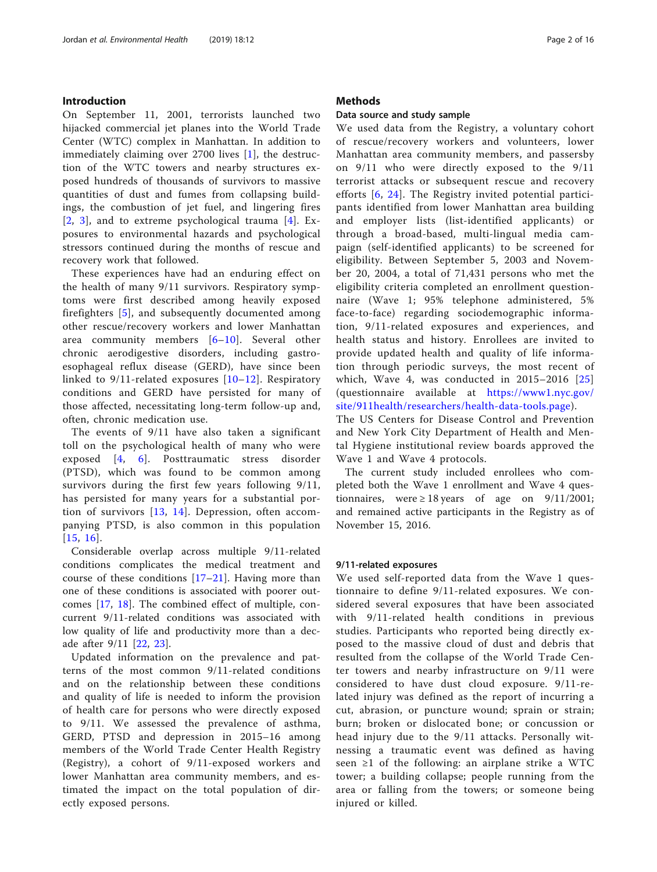## Introduction

On September 11, 2001, terrorists launched two hijacked commercial jet planes into the World Trade Center (WTC) complex in Manhattan. In addition to immediately claiming over 2700 lives [\[1](#page-14-0)], the destruction of the WTC towers and nearby structures exposed hundreds of thousands of survivors to massive quantities of dust and fumes from collapsing buildings, the combustion of jet fuel, and lingering fires [[2](#page-14-0), [3](#page-14-0)], and to extreme psychological trauma [[4\]](#page-14-0). Exposures to environmental hazards and psychological stressors continued during the months of rescue and recovery work that followed.

These experiences have had an enduring effect on the health of many 9/11 survivors. Respiratory symptoms were first described among heavily exposed firefighters [[5\]](#page-14-0), and subsequently documented among other rescue/recovery workers and lower Manhattan area community members [\[6](#page-14-0)–[10\]](#page-15-0). Several other chronic aerodigestive disorders, including gastroesophageal reflux disease (GERD), have since been linked to 9/11-related exposures [[10](#page-15-0)–[12](#page-15-0)]. Respiratory conditions and GERD have persisted for many of those affected, necessitating long-term follow-up and, often, chronic medication use.

The events of 9/11 have also taken a significant toll on the psychological health of many who were exposed [\[4](#page-14-0), [6\]](#page-14-0). Posttraumatic stress disorder (PTSD), which was found to be common among survivors during the first few years following 9/11, has persisted for many years for a substantial portion of survivors [[13,](#page-15-0) [14\]](#page-15-0). Depression, often accompanying PTSD, is also common in this population [[15](#page-15-0), [16](#page-15-0)].

Considerable overlap across multiple 9/11-related conditions complicates the medical treatment and course of these conditions [[17](#page-15-0)–[21\]](#page-15-0). Having more than one of these conditions is associated with poorer outcomes [\[17](#page-15-0), [18\]](#page-15-0). The combined effect of multiple, concurrent 9/11-related conditions was associated with low quality of life and productivity more than a decade after 9/11 [[22,](#page-15-0) [23\]](#page-15-0).

Updated information on the prevalence and patterns of the most common 9/11-related conditions and on the relationship between these conditions and quality of life is needed to inform the provision of health care for persons who were directly exposed to 9/11. We assessed the prevalence of asthma, GERD, PTSD and depression in 2015–16 among members of the World Trade Center Health Registry (Registry), a cohort of 9/11-exposed workers and lower Manhattan area community members, and estimated the impact on the total population of directly exposed persons.

## **Methods**

#### Data source and study sample

We used data from the Registry, a voluntary cohort of rescue/recovery workers and volunteers, lower Manhattan area community members, and passersby on 9/11 who were directly exposed to the 9/11 terrorist attacks or subsequent rescue and recovery efforts [[6](#page-14-0), [24\]](#page-15-0). The Registry invited potential participants identified from lower Manhattan area building and employer lists (list-identified applicants) or through a broad-based, multi-lingual media campaign (self-identified applicants) to be screened for eligibility. Between September 5, 2003 and November 20, 2004, a total of 71,431 persons who met the eligibility criteria completed an enrollment questionnaire (Wave 1; 95% telephone administered, 5% face-to-face) regarding sociodemographic information, 9/11-related exposures and experiences, and health status and history. Enrollees are invited to provide updated health and quality of life information through periodic surveys, the most recent of which, Wave 4, was conducted in  $2015-2016$   $[25]$  $[25]$  $[25]$ (questionnaire available at [https://www1.nyc.gov/](https://www1.nyc.gov/site/911health/researchers/health-data-tools.page) [site/911health/researchers/health-data-tools.page](https://www1.nyc.gov/site/911health/researchers/health-data-tools.page)).

The US Centers for Disease Control and Prevention and New York City Department of Health and Mental Hygiene institutional review boards approved the Wave 1 and Wave 4 protocols.

The current study included enrollees who completed both the Wave 1 enrollment and Wave 4 questionnaires, were  $\geq 18$  years of age on 9/11/2001; and remained active participants in the Registry as of November 15, 2016.

## 9/11-related exposures

We used self-reported data from the Wave 1 questionnaire to define 9/11-related exposures. We considered several exposures that have been associated with 9/11-related health conditions in previous studies. Participants who reported being directly exposed to the massive cloud of dust and debris that resulted from the collapse of the World Trade Center towers and nearby infrastructure on 9/11 were considered to have dust cloud exposure. 9/11-related injury was defined as the report of incurring a cut, abrasion, or puncture wound; sprain or strain; burn; broken or dislocated bone; or concussion or head injury due to the 9/11 attacks. Personally witnessing a traumatic event was defined as having seen ≥1 of the following: an airplane strike a WTC tower; a building collapse; people running from the area or falling from the towers; or someone being injured or killed.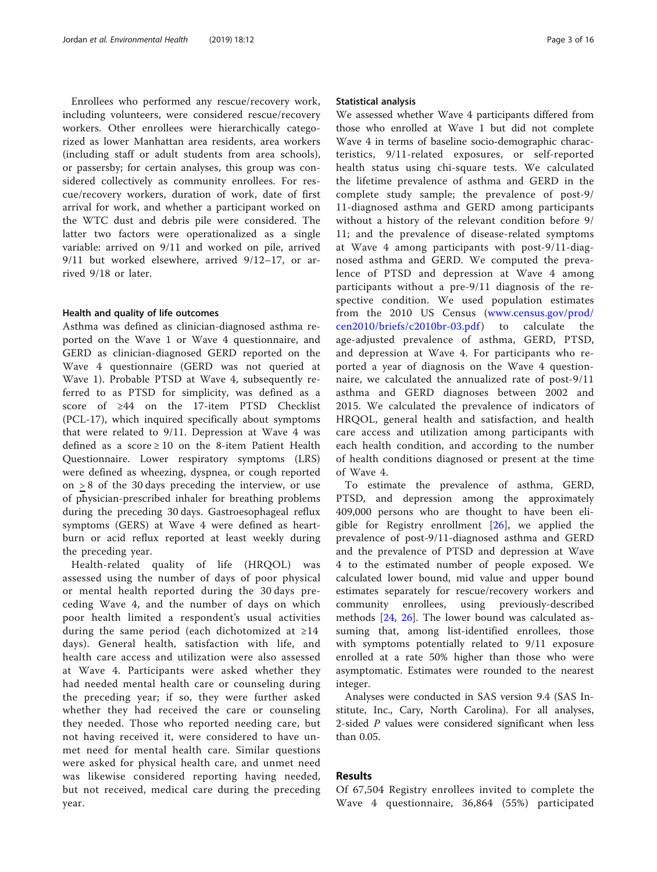Enrollees who performed any rescue/recovery work, including volunteers, were considered rescue/recovery workers. Other enrollees were hierarchically categorized as lower Manhattan area residents, area workers (including staff or adult students from area schools), or passersby; for certain analyses, this group was considered collectively as community enrollees. For rescue/recovery workers, duration of work, date of first arrival for work, and whether a participant worked on the WTC dust and debris pile were considered. The latter two factors were operationalized as a single variable: arrived on 9/11 and worked on pile, arrived 9/11 but worked elsewhere, arrived 9/12–17, or arrived 9/18 or later.

#### Health and quality of life outcomes

Asthma was defined as clinician-diagnosed asthma reported on the Wave 1 or Wave 4 questionnaire, and GERD as clinician-diagnosed GERD reported on the Wave 4 questionnaire (GERD was not queried at Wave 1). Probable PTSD at Wave 4, subsequently referred to as PTSD for simplicity, was defined as a score of ≥44 on the 17-item PTSD Checklist (PCL-17), which inquired specifically about symptoms that were related to 9/11. Depression at Wave 4 was defined as a score ≥ 10 on the 8-item Patient Health Questionnaire. Lower respiratory symptoms (LRS) were defined as wheezing, dyspnea, or cough reported on > 8 of the 30 days preceding the interview, or use of physician-prescribed inhaler for breathing problems during the preceding 30 days. Gastroesophageal reflux symptoms (GERS) at Wave 4 were defined as heartburn or acid reflux reported at least weekly during the preceding year.

Health-related quality of life (HRQOL) was assessed using the number of days of poor physical or mental health reported during the 30 days preceding Wave 4, and the number of days on which poor health limited a respondent's usual activities during the same period (each dichotomized at ≥14 days). General health, satisfaction with life, and health care access and utilization were also assessed at Wave 4. Participants were asked whether they had needed mental health care or counseling during the preceding year; if so, they were further asked whether they had received the care or counseling they needed. Those who reported needing care, but not having received it, were considered to have unmet need for mental health care. Similar questions were asked for physical health care, and unmet need was likewise considered reporting having needed, but not received, medical care during the preceding year.

#### Statistical analysis

We assessed whether Wave 4 participants differed from those who enrolled at Wave 1 but did not complete Wave 4 in terms of baseline socio-demographic characteristics, 9/11-related exposures, or self-reported health status using chi-square tests. We calculated the lifetime prevalence of asthma and GERD in the complete study sample; the prevalence of post-9/ 11-diagnosed asthma and GERD among participants without a history of the relevant condition before 9/ 11; and the prevalence of disease-related symptoms at Wave 4 among participants with post-9/11-diagnosed asthma and GERD. We computed the prevalence of PTSD and depression at Wave 4 among participants without a pre-9/11 diagnosis of the respective condition. We used population estimates from the 2010 US Census [\(www.census.gov/prod/](http://www.census.gov/prod/cen2010/briefs/c2010br-03.pdf) [cen2010/briefs/c2010br-03.pdf](http://www.census.gov/prod/cen2010/briefs/c2010br-03.pdf)) to calculate the age-adjusted prevalence of asthma, GERD, PTSD, and depression at Wave 4. For participants who reported a year of diagnosis on the Wave 4 questionnaire, we calculated the annualized rate of post-9/11 asthma and GERD diagnoses between 2002 and 2015. We calculated the prevalence of indicators of HRQOL, general health and satisfaction, and health care access and utilization among participants with each health condition, and according to the number of health conditions diagnosed or present at the time of Wave 4.

To estimate the prevalence of asthma, GERD, PTSD, and depression among the approximately 409,000 persons who are thought to have been eligible for Registry enrollment  $[26]$  $[26]$ , we applied the prevalence of post-9/11-diagnosed asthma and GERD and the prevalence of PTSD and depression at Wave 4 to the estimated number of people exposed. We calculated lower bound, mid value and upper bound estimates separately for rescue/recovery workers and community enrollees, using previously-described methods [[24,](#page-15-0) [26\]](#page-15-0). The lower bound was calculated assuming that, among list-identified enrollees, those with symptoms potentially related to 9/11 exposure enrolled at a rate 50% higher than those who were asymptomatic. Estimates were rounded to the nearest integer.

Analyses were conducted in SAS version 9.4 (SAS Institute, Inc., Cary, North Carolina). For all analyses, 2-sided P values were considered significant when less than 0.05.

## Results

Of 67,504 Registry enrollees invited to complete the Wave 4 questionnaire, 36,864 (55%) participated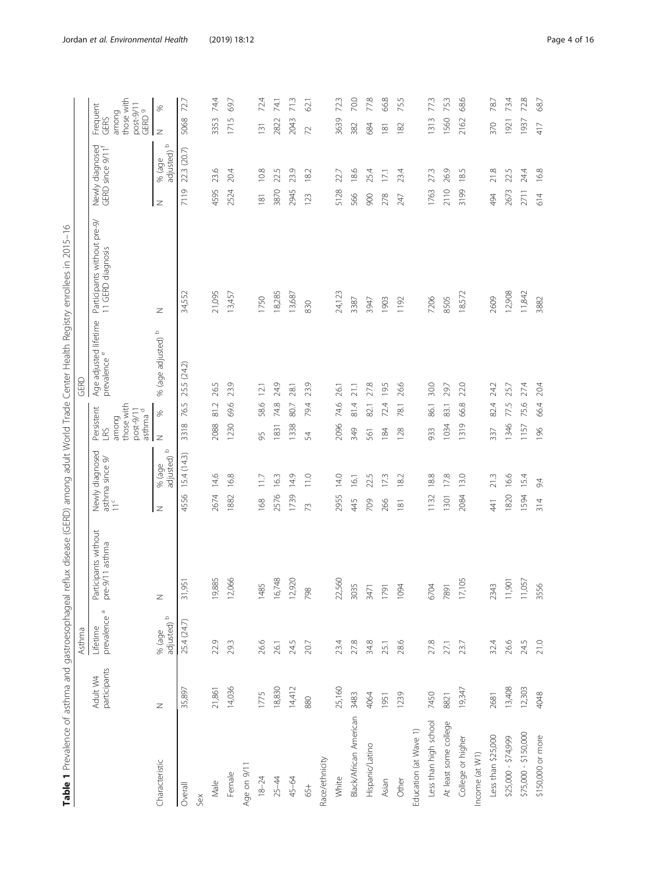| Ś                                                                                                     |  |
|-------------------------------------------------------------------------------------------------------|--|
| ļ<br>I<br>$\ddot{\phantom{0}}$                                                                        |  |
| Į                                                                                                     |  |
|                                                                                                       |  |
| I<br>j<br>ׇ֚֘֝֬                                                                                       |  |
|                                                                                                       |  |
|                                                                                                       |  |
|                                                                                                       |  |
| ֕<br>١<br>Ì                                                                                           |  |
| I                                                                                                     |  |
| ١                                                                                                     |  |
|                                                                                                       |  |
| ׇ֚֘֝֬                                                                                                 |  |
| I                                                                                                     |  |
| i                                                                                                     |  |
| l                                                                                                     |  |
|                                                                                                       |  |
|                                                                                                       |  |
|                                                                                                       |  |
| ֖֖֖֖֖֖֖֖֖֖֖֖֧ׅ֖֧֖֧֪֧֪֧֚֚֚֚֚֚֚֚֚֚֚֚֚֚֚֚֚֚֚֚֚֚֚֚֚֚֡֬֝֬֝֓֞֓֡֬֓֞֓֡֬֓֞֓֞֬֝֓֞֞֝֬֞֝֬֝֬֝<br>ׇ֖֖֚֚֚֚֚֡֝<br>ׇ֚֘ |  |
| ١<br>ł                                                                                                |  |
| I<br>¢                                                                                                |  |
| j<br>l                                                                                                |  |
| $\overline{\mathcal{L}}$<br>l                                                                         |  |
| l                                                                                                     |  |
| l<br>j<br>I<br>j<br>ï                                                                                 |  |
| ł<br>١                                                                                                |  |
| j<br>i<br>ł                                                                                           |  |
|                                                                                                       |  |
| ۱<br>1                                                                                                |  |
| j<br>İ                                                                                                |  |
| I<br>j<br>١                                                                                           |  |
|                                                                                                       |  |
|                                                                                                       |  |
|                                                                                                       |  |
| ١<br>j<br>j<br>֖֖֖֖֖֖֖֧֚֚֚֚֚֚֚֚֚֚֚֚֚֚֚֚֚֚֚֚֚֬֝֝֝֝֓֞֡֓֡֓֬֝֓֬֝֓֬<br>١                                   |  |
| ī<br>֕                                                                                                |  |
| ١<br>۱                                                                                                |  |
| I                                                                                                     |  |
| S<br>J⊂                                                                                               |  |
| $\frac{1}{3}$<br>)                                                                                    |  |
| I<br>l                                                                                                |  |
| j<br>j<br>۱                                                                                           |  |
|                                                                                                       |  |
|                                                                                                       |  |
|                                                                                                       |  |
| $\frac{1}{2}$<br>ť<br>l                                                                               |  |

<span id="page-3-0"></span>

|                        |                          | Asthma                      |                                         |                                                     | GERD                                                                                                    |                       |                                                  |                                                 |                                                                |
|------------------------|--------------------------|-----------------------------|-----------------------------------------|-----------------------------------------------------|---------------------------------------------------------------------------------------------------------|-----------------------|--------------------------------------------------|-------------------------------------------------|----------------------------------------------------------------|
|                        | participants<br>Adult W4 | o<br>prevalence<br>Lifetime | Participants without<br>pre-9/11 asthma | Newly diagnosed<br>asthma since 9/<br>$\frac{c}{1}$ | prevalence <sup>e</sup><br>those with<br>Persistent<br>post-9/11<br>asthma <sup>d</sup><br>among<br>LRS | Age adjusted lifetime | Participants without pre-9/<br>11 GERD diagnosis | Newly diagnosed<br>GERD since 9/11 <sup>f</sup> | those with<br>post-9/11<br>GERD 9<br>Frequent<br>among<br>GERS |
| Characteristic         | Z                        | % (age<br>adjusted) b       | Z                                       | adjusted) b<br>% (age<br>z                          | S,<br>Z                                                                                                 | % (age adjusted) b    | z                                                | adjusted) b<br>% (age<br>z                      | ℅<br>Z                                                         |
| Overall                | 35,897                   | 25.4 (24.7)                 | 31,951                                  | 15.4(14.3)<br>4556                                  | 25.5 (24.2)<br>76.5<br>3318                                                                             |                       | 34,552                                           | 22.3 (20.7)<br>7119                             | 72.7<br>5068                                                   |
| Sex                    |                          |                             |                                         |                                                     |                                                                                                         |                       |                                                  |                                                 |                                                                |
| Male                   | 21,861                   | 22.9                        | 19,885                                  | 14.6<br>2674                                        | 26.5<br>81.2<br>2088                                                                                    |                       | 21,095                                           | 23.6<br>4595                                    | 74.4<br>3353                                                   |
| Female                 | 14,036                   | 29.3                        | 12,066                                  | 16.8<br>1882                                        | 23.9<br>69.6<br>1230                                                                                    |                       | 13,457                                           | 20.4<br>2524                                    | 69.7<br>1715                                                   |
| Age on 9/11            |                          |                             |                                         |                                                     |                                                                                                         |                       |                                                  |                                                 |                                                                |
| $18 - 24$              | 1775                     | 26.6                        | 1485                                    | 11.7<br>168                                         | 12.1<br>58.6<br>95                                                                                      |                       | 1750                                             | 10.8<br>181                                     | 72.4<br>131                                                    |
| $25 - 44$              | 18,830                   | 26.1                        | 16,748                                  | 16.3<br>2576                                        | 24.9<br>74.8<br>1831                                                                                    |                       | 18,285                                           | 22.5<br>3870                                    | 74.1<br>2822                                                   |
| 45-64                  | 14,412                   | 24.5                        | 12,920                                  | 14.9<br>1739                                        | 28.1<br>80.7<br>1338                                                                                    |                       | 13,687                                           | 23.9<br>2945                                    | 71.3<br>2043                                                   |
| 65+                    | 880                      | 20.7                        | 798                                     | 11.0<br>73                                          | 23.9<br>79.4<br>54                                                                                      |                       | 830                                              | 18.2<br>123                                     | 62.1<br>$\overline{z}$                                         |
| Race/ethnicity         |                          |                             |                                         |                                                     |                                                                                                         |                       |                                                  |                                                 |                                                                |
| White                  | 25,160                   | 23.4                        | 22,560                                  | 14.0<br>2955                                        | 26.1<br>74.6<br>2096                                                                                    |                       | 24,123                                           | 22.7<br>5128                                    | 72.3<br>3639                                                   |
| Black/African American | 3483                     | 27.8                        | 3035                                    | 16.1<br>445                                         | 21.1<br>81.4<br>349                                                                                     |                       | 3387                                             | 18.6<br>566                                     | 70.0<br>382                                                    |
| Hispanic/Latino        | 4064                     | 34.8                        | 3471                                    | 22.5<br>709                                         | 27.8<br>82.1<br>561                                                                                     |                       | 3947                                             | 25.4<br>900                                     | 77.8<br>684                                                    |
| Asian                  | 1951                     | 25.1                        | 1791                                    | 17.3<br>266                                         | 19.5<br>72.4<br>184                                                                                     |                       | 1903                                             | 17.1<br>278                                     | 66.8<br>$\frac{8}{2}$                                          |
| Other                  | 1239                     | 28.6                        | 1094                                    | 182<br>$\overline{181}$                             | 26.6<br>78.1<br>128                                                                                     |                       | 1192                                             | 23.4<br>247                                     | 75.5<br>182                                                    |
| Education (at Wave 1)  |                          |                             |                                         |                                                     |                                                                                                         |                       |                                                  |                                                 |                                                                |
| Less than high school  | 7450                     | 27.8                        | 6704                                    | 18.8<br>1132                                        | 30.0<br>86.1<br>933                                                                                     |                       | 7206                                             | 27.3<br>1763                                    | 77.3<br>1313                                                   |
| At least some college  | 8821                     | 27.1                        | 7891                                    | 17.8<br>1301                                        | 29.7<br>83.1<br>1034                                                                                    |                       | 8505                                             | 26.9<br>2110                                    | 75.3<br>1560                                                   |
| College or higher      | 19,347                   | 23.7                        | 17,105                                  | 13.0<br>2084                                        | 22.0<br>66.8<br>1319                                                                                    |                       | 18,572                                           | 18.5<br>3199                                    | 68.6<br>2162                                                   |
| Income (at W1)         |                          |                             |                                         |                                                     |                                                                                                         |                       |                                                  |                                                 |                                                                |
| Less than \$25,000     | 2681                     | 32.4                        | 2343                                    | 21.3<br>41                                          | 24.2<br>82.4<br>337                                                                                     |                       | 2609                                             | 21.8<br>494                                     | 78.7<br>370                                                    |
| \$25,000 - \$74,999    | 13,408                   | 26.6                        | 11,901                                  | 16.6<br>1820                                        | 25.7<br>77.5<br>1346                                                                                    |                       | 12,908                                           | 22.5<br>2673                                    | 73.4<br>1921                                                   |
| \$75,000 - \$150,000   | 12,303                   | 24.5                        | 11,057                                  | 15.4<br>1594                                        | 27.4<br>75.6<br>1157                                                                                    |                       | 11,842                                           | 24.4<br>2711                                    | 72.8<br>1937                                                   |
| \$150,000 or more      | 4048                     | 21.0                        | 3556                                    | 9.4<br>314                                          | 20.4<br>66.4<br>196                                                                                     |                       | 3882                                             | 16.8<br>614                                     | 68.7<br>417                                                    |
|                        |                          |                             |                                         |                                                     |                                                                                                         |                       |                                                  |                                                 |                                                                |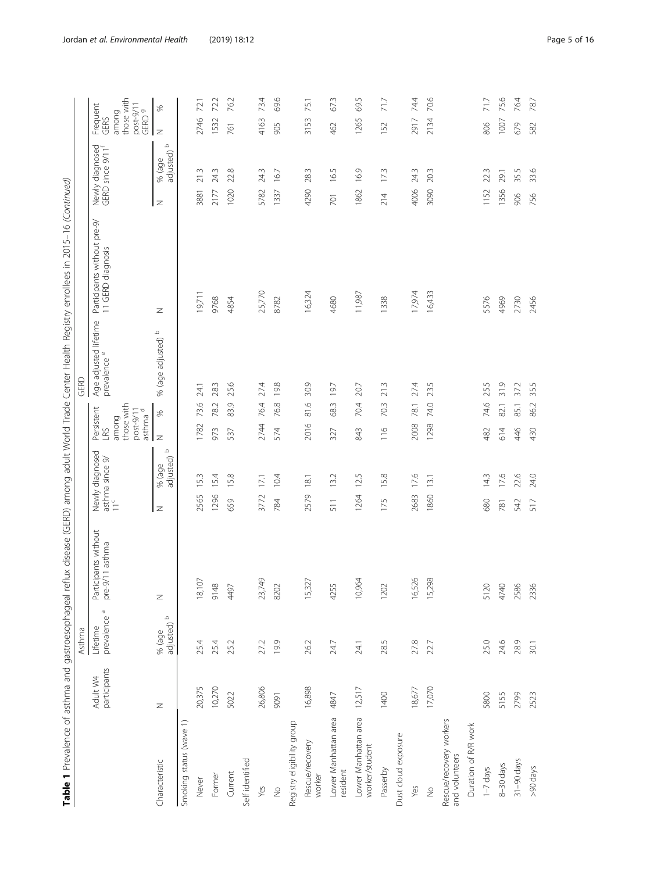| ۱                                                                                      |  |
|----------------------------------------------------------------------------------------|--|
| ١<br>j<br>i                                                                            |  |
| ţ                                                                                      |  |
|                                                                                        |  |
| i                                                                                      |  |
| ļ<br>J                                                                                 |  |
|                                                                                        |  |
|                                                                                        |  |
| l<br>Į                                                                                 |  |
|                                                                                        |  |
| ï<br>l                                                                                 |  |
| ļ                                                                                      |  |
|                                                                                        |  |
| ï<br>Ì<br>j                                                                            |  |
|                                                                                        |  |
|                                                                                        |  |
| ţ                                                                                      |  |
| ł                                                                                      |  |
|                                                                                        |  |
| I<br>ï                                                                                 |  |
| i<br>֖֖֖֖֖֖֖֖֖֖֖֖֚֚֚֚֚֚֚֚֚֚֚֚֚֚֚֚֚֚֚֚֬<br>$\overline{)}$<br>d<br>ĭ<br>Į                |  |
| l                                                                                      |  |
| l                                                                                      |  |
| L<br>١                                                                                 |  |
| í<br>I<br>Ï                                                                            |  |
|                                                                                        |  |
| 1                                                                                      |  |
|                                                                                        |  |
| Ì                                                                                      |  |
| I                                                                                      |  |
|                                                                                        |  |
| l                                                                                      |  |
| I                                                                                      |  |
|                                                                                        |  |
|                                                                                        |  |
|                                                                                        |  |
| l                                                                                      |  |
|                                                                                        |  |
| ī                                                                                      |  |
| l<br>֕                                                                                 |  |
| $\cdot$<br>֡֡֡֡֡֡֡֡                                                                    |  |
|                                                                                        |  |
|                                                                                        |  |
| ł                                                                                      |  |
| į<br>١<br>Ì                                                                            |  |
| i                                                                                      |  |
| I<br>١<br>١                                                                            |  |
| l<br>l<br>ı<br>j<br>Ï                                                                  |  |
| 1<br>I                                                                                 |  |
|                                                                                        |  |
| )<br>)<br>d<br>í<br>j                                                                  |  |
| J<br>֕<br>I<br>ł<br>١                                                                  |  |
| ī<br>ׇ֬֘֕֜                                                                             |  |
|                                                                                        |  |
| í<br>l                                                                                 |  |
| t                                                                                      |  |
| j                                                                                      |  |
| ֘֒<br>j<br>Ì                                                                           |  |
| l<br>j<br>l<br>l<br>j<br>֖֖֖֖֖֖֧ׅ֧ׅ֧֧֧֖֚֚֚֚֚֚֚֚֚֚֚֚֚֚֚֚֚֚֚֚֚֡֬֝֝֝֓֞֡֓֞֡֓֬֝֓֞֝֬֓֝֬֓֞֓֞֞ |  |
| l<br>ţ                                                                                 |  |
| ł                                                                                      |  |
| ļ<br>$\mathbf$<br>١                                                                    |  |
| ł                                                                                      |  |
| ï                                                                                      |  |
| i                                                                                      |  |
| J<br>ś<br>ŕ                                                                            |  |
| î<br>j<br>$\mathbf{r}$                                                                 |  |
| ī<br>Ş                                                                                 |  |
| İ<br>١                                                                                 |  |
|                                                                                        |  |
|                                                                                        |  |
|                                                                                        |  |
|                                                                                        |  |
|                                                                                        |  |
|                                                                                        |  |
|                                                                                        |  |
|                                                                                        |  |
|                                                                                        |  |
|                                                                                        |  |
|                                                                                        |  |
|                                                                                        |  |
|                                                                                        |  |
|                                                                                        |  |
|                                                                                        |  |
|                                                                                        |  |

|                                           |                          | Asthma                              |                                         |      |                                                       |                                                                              | GERD                                  |                                                  |      |                                       |                                                                           |
|-------------------------------------------|--------------------------|-------------------------------------|-----------------------------------------|------|-------------------------------------------------------|------------------------------------------------------------------------------|---------------------------------------|--------------------------------------------------|------|---------------------------------------|---------------------------------------------------------------------------|
|                                           | participants<br>Adult W4 | prevalence <sup>a</sup><br>Lifetime | Participants without<br>pre-9/11 asthma |      | Newly diagnosed<br>asthma since 9/<br>11 <sup>c</sup> | those with<br>Persistent<br>LRS<br>asthma <sup>d</sup><br>post-9/11<br>among | Age adjusted lifetime<br>prevalence e | Participants without pre-9/<br>11 GERD diagnosis |      | Newly diagnosed<br>GERD since 9/11    | those with<br>post-9/11<br>Frequent<br>GERD <sup>9</sup><br>among<br>GERS |
| Characteristic                            | z                        | adjusted) b<br>% (age               | Z                                       | Z    | $\Omega$<br>adjusted)<br>% (age                       | $\%$<br>Z                                                                    | % (age adjusted) b                    | Z                                                | z    | $\mathfrak{Q}$<br>adjusted)<br>% (age | $\gg$<br>Z                                                                |
| Smoking status (wave 1)                   |                          |                                     |                                         |      |                                                       |                                                                              |                                       |                                                  |      |                                       |                                                                           |
| Never                                     | 20,375                   | 25.4                                | $\overline{O}$<br>18,1                  | 2565 | 15.3                                                  | 73.6<br>1782                                                                 | 24.1                                  | 19,711                                           | 3881 | 21.3                                  | 72.1<br>2746                                                              |
| Former                                    | 10,270                   | 25.4                                | 9148                                    | 1296 | 15.4                                                  | 78.2<br>973                                                                  | 28.3                                  | 9768                                             | 2177 | 24.3                                  | 72.2<br>1532                                                              |
| Current                                   | 5022                     | 25.2                                | 4497                                    | 659  | 15.8                                                  | 83.9<br>537                                                                  | 25.6                                  | 4854                                             | 1020 | 22.8                                  | 76.2<br>761                                                               |
| Self identified                           |                          |                                     |                                         |      |                                                       |                                                                              |                                       |                                                  |      |                                       |                                                                           |
| Yes                                       | 26,806                   | 27.2                                | 23,749                                  | 3772 | 17.1                                                  | 76.4<br>2744                                                                 | 27.4                                  | 25,770                                           | 5782 | 24.3                                  | 73.4<br>4163                                                              |
| $\frac{1}{2}$                             | 9091                     | 19.9                                | 8202                                    | 784  | 10.4                                                  | 76.8<br>574                                                                  | 19.8                                  | 8782                                             | 1337 | 16.7                                  | 69.6<br>905                                                               |
| Registry eligibility group                |                          |                                     |                                         |      |                                                       |                                                                              |                                       |                                                  |      |                                       |                                                                           |
| Rescue/recovery<br>worker                 | 16,898                   | 26.2                                | 15,327                                  | 2579 | 18.1                                                  | 81.6<br>2016                                                                 | 30.9                                  | 16,324                                           | 4290 | 28.3                                  | 75.1<br>3153                                                              |
| Lower Manhattan area<br>resident          | 4847                     | 24.7                                | 4255                                    | 511  | 13.2                                                  | 68.3<br>327                                                                  | 19.7                                  | 4680                                             | 701  | 16.5                                  | 67.3<br>462                                                               |
| Lower Manhattan area<br>worker/student    | 12,517                   | 24.1                                | 10,964                                  | 1264 | 12.5                                                  | 70.4<br>843                                                                  | 20.7                                  | 11,987                                           | 1862 | 16.9                                  | 69.5<br>1265                                                              |
| Passerby                                  | 1400                     | 28.5                                | 1202                                    | 175  | 15.8                                                  | 70.3<br>116                                                                  | 21.3                                  | 1338                                             | 214  | 173                                   | 71.7<br>152                                                               |
| Dust cloud exposure                       |                          |                                     |                                         |      |                                                       |                                                                              |                                       |                                                  |      |                                       |                                                                           |
| Yes                                       | 18,677                   | 27.8                                | 16,526                                  | 2683 | 17.6                                                  | 78.1<br>2008                                                                 | 27.4                                  | 17,974                                           | 4006 | 24.3                                  | 74.4<br>2917                                                              |
| $\frac{1}{2}$                             | 17,070                   | 22.7                                | 15,298                                  | 1860 | 13.1                                                  | 74.0<br>1298                                                                 | 23.5                                  | 16,433                                           | 3090 | 20.3                                  | 70.6<br>2134                                                              |
| Rescue/recovery workers<br>and volunteers |                          |                                     |                                         |      |                                                       |                                                                              |                                       |                                                  |      |                                       |                                                                           |
| Duration of R/R work                      |                          |                                     |                                         |      |                                                       |                                                                              |                                       |                                                  |      |                                       |                                                                           |
| $1 - 7$ days                              | 5800                     | 25.0                                | 5120                                    | 680  | 14.3                                                  | 74.6<br>482                                                                  | 25.5                                  | 5576                                             | 1152 | 22.3                                  | 71.7<br>806                                                               |
| $8-30$ days                               | 5155                     | 24.6                                | 4740                                    | 781  | 17.6                                                  | 82.1<br>614                                                                  | 31.9                                  | 4969                                             | 1356 | 29.1                                  | 75.6<br>1007                                                              |
| $31 - 90$ days                            | 2799                     | 28.9                                | 2586                                    | 542  | 22.6                                                  | 85.1<br>446                                                                  | 37.2                                  | 2730                                             | 906  | 35.5                                  | 76.4<br>679                                                               |
| >90 days                                  | 2523                     | 30.1                                | 2336                                    | 517  | 24.0                                                  | 86.2<br>430                                                                  | 35.5                                  | 2456                                             | 756  | 33.6                                  | 78.7<br>582                                                               |
|                                           |                          |                                     |                                         |      |                                                       |                                                                              |                                       |                                                  |      |                                       |                                                                           |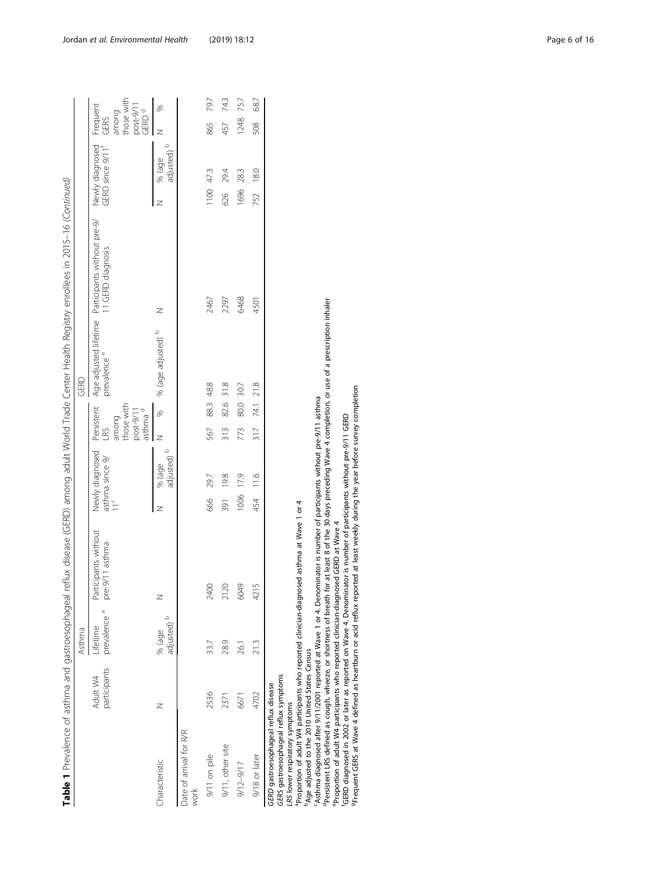|                                                                                                                                                                               |                          |                                     |                                                                                                                                                                                                                        |                                      |                                          |              |                    | Table 1 Prevalence of asthma and gastroesophageal reflux disease (GERD) among adult World Trade Center Health Registry enrollees in 2015–16 (Continued) |                                                 |                                         |
|-------------------------------------------------------------------------------------------------------------------------------------------------------------------------------|--------------------------|-------------------------------------|------------------------------------------------------------------------------------------------------------------------------------------------------------------------------------------------------------------------|--------------------------------------|------------------------------------------|--------------|--------------------|---------------------------------------------------------------------------------------------------------------------------------------------------------|-------------------------------------------------|-----------------------------------------|
|                                                                                                                                                                               |                          | Asthma                              |                                                                                                                                                                                                                        |                                      |                                          | GERD         |                    |                                                                                                                                                         |                                                 |                                         |
|                                                                                                                                                                               | participants<br>Adult W4 | prevalence <sup>a</sup><br>Lifetime | Participants without<br>pre-9/11 asthma                                                                                                                                                                                | Newly diagnosed<br>asthma since $9/$ | Persistent<br>those with<br>among<br>LRS |              | prevalence e       | Age adjusted lifetime Participants without pre-9/<br>11 GERD diagnosis                                                                                  | Newly diagnosed<br>GERD since 9/11 <sup>f</sup> | those with<br>Frequent<br>among<br>GERS |
| Characteristic                                                                                                                                                                | Z                        | $\circ$<br>adjusted)<br>% (age      | Z                                                                                                                                                                                                                      | adjusted)<br>% (age<br>z             | post-9/11<br>asthma <sup>d</sup><br>z    | X            | % (age adjusted) b | z                                                                                                                                                       | adjusted)<br>% (age<br>z                        | post-9/11<br>GERD 9<br>S,<br>z          |
| Date of arrival for R/R<br>work                                                                                                                                               |                          |                                     |                                                                                                                                                                                                                        |                                      |                                          |              |                    |                                                                                                                                                         |                                                 |                                         |
| 9/11 on pile                                                                                                                                                                  | 2536                     | 33.7                                | 2400                                                                                                                                                                                                                   | 29.7<br>666                          | 567                                      | 88.3 48.8    |                    | 2467                                                                                                                                                    | 1100 47.3                                       | 79.7<br>865                             |
| 9/11, other site                                                                                                                                                              | 2371                     | 28.9                                | 2120                                                                                                                                                                                                                   | 19.8<br>391                          | 313                                      | 31.8<br>82.6 |                    | 2297                                                                                                                                                    | 29.4<br>626                                     | 74.3<br>457                             |
| $9/12 - 9/17$                                                                                                                                                                 | 6671                     | .<br>8                              | 6049                                                                                                                                                                                                                   | 1006 17.9                            | 773                                      | 30.7<br>80.0 |                    | 6468                                                                                                                                                    | 28.3<br>1696                                    | 75.7<br>1248                            |
| 9/18 or later                                                                                                                                                                 | 4702                     | 21.3                                | 4215                                                                                                                                                                                                                   | 454 11.6                             | 317                                      | 74.1 21.8    |                    | 4501                                                                                                                                                    | 18.0<br>752                                     | 68.7<br>508                             |
| <sup>D</sup> Age adjusted to the 2010 United States Census<br>GERS gastroesophageal reflux symptoms<br>GERD gastroesophageal reflux disease<br>LRS lower respiratory symptoms |                          |                                     | "Asthma diagnosed after 9/11/2001 reported at Wave 1 or 4. Denominator is number of participants without pre-9/11 asthma<br>Proportion of adult W4 participants who reported clinician-diagnosed asthma at Wave 1 or 4 |                                      |                                          |              |                    |                                                                                                                                                         |                                                 |                                         |

<sup>1</sup>Age adjustration the 2710 United States Census unit, unit, and a permission of participants without pre-9/11 asthma<br>19 particle of the 2710 United States Census of the 4 Denominator is number of participants without pr dPersistent LRS defined as cough, wheeze, or shortness of breath for at least 8 of the 30 days preceding Wave 4 completion, or use of a prescription inhaler

eProportion of adult W4 participants who reported clinician-diagnosed GERD at Wave 4

fGERD diagnosed in 2002 or later as reported on Wave 4. Denominator is number of participants without pre-9/11 GERD

gFrequent GERS at Wave 4 defined as heartburn or acid reflux reported at least weekly during the year before survey completion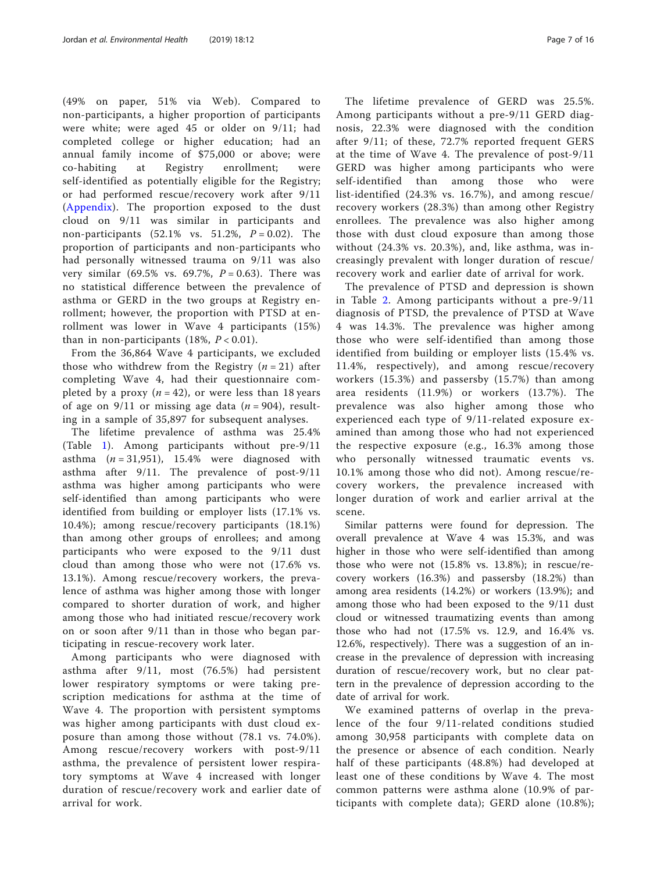(49% on paper, 51% via Web). Compared to non-participants, a higher proportion of participants were white; were aged 45 or older on 9/11; had completed college or higher education; had an annual family income of \$75,000 or above; were co-habiting at Registry enrollment; were self-identified as potentially eligible for the Registry; or had performed rescue/recovery work after 9/11 (Appendix). The proportion exposed to the dust cloud on 9/11 was similar in participants and non-participants (52.1% vs. 51.2%,  $P = 0.02$ ). The proportion of participants and non-participants who had personally witnessed trauma on 9/11 was also very similar (69.5% vs. 69.7%,  $P = 0.63$ ). There was no statistical difference between the prevalence of asthma or GERD in the two groups at Registry enrollment; however, the proportion with PTSD at enrollment was lower in Wave 4 participants (15%) than in non-participants (18%,  $P < 0.01$ ).

From the 36,864 Wave 4 participants, we excluded those who withdrew from the Registry  $(n = 21)$  after completing Wave 4, had their questionnaire completed by a proxy  $(n = 42)$ , or were less than 18 years of age on  $9/11$  or missing age data (*n* = 904), resulting in a sample of 35,897 for subsequent analyses.

The lifetime prevalence of asthma was 25.4% (Table [1](#page-3-0)). Among participants without pre-9/11 asthma  $(n = 31,951)$ , 15.4% were diagnosed with asthma after 9/11. The prevalence of post-9/11 asthma was higher among participants who were self-identified than among participants who were identified from building or employer lists (17.1% vs. 10.4%); among rescue/recovery participants (18.1%) than among other groups of enrollees; and among participants who were exposed to the 9/11 dust cloud than among those who were not (17.6% vs. 13.1%). Among rescue/recovery workers, the prevalence of asthma was higher among those with longer compared to shorter duration of work, and higher among those who had initiated rescue/recovery work on or soon after 9/11 than in those who began participating in rescue-recovery work later.

Among participants who were diagnosed with asthma after 9/11, most (76.5%) had persistent lower respiratory symptoms or were taking prescription medications for asthma at the time of Wave 4. The proportion with persistent symptoms was higher among participants with dust cloud exposure than among those without (78.1 vs. 74.0%). Among rescue/recovery workers with post-9/11 asthma, the prevalence of persistent lower respiratory symptoms at Wave 4 increased with longer duration of rescue/recovery work and earlier date of arrival for work.

The lifetime prevalence of GERD was 25.5%. Among participants without a pre-9/11 GERD diagnosis, 22.3% were diagnosed with the condition after 9/11; of these, 72.7% reported frequent GERS at the time of Wave 4. The prevalence of post-9/11 GERD was higher among participants who were self-identified than among those who were list-identified (24.3% vs. 16.7%), and among rescue/ recovery workers (28.3%) than among other Registry enrollees. The prevalence was also higher among those with dust cloud exposure than among those without (24.3% vs. 20.3%), and, like asthma, was increasingly prevalent with longer duration of rescue/ recovery work and earlier date of arrival for work.

The prevalence of PTSD and depression is shown in Table [2](#page-7-0). Among participants without a pre-9/11 diagnosis of PTSD, the prevalence of PTSD at Wave 4 was 14.3%. The prevalence was higher among those who were self-identified than among those identified from building or employer lists (15.4% vs. 11.4%, respectively), and among rescue/recovery workers (15.3%) and passersby (15.7%) than among area residents (11.9%) or workers (13.7%). The prevalence was also higher among those who experienced each type of 9/11-related exposure examined than among those who had not experienced the respective exposure (e.g., 16.3% among those who personally witnessed traumatic events vs. 10.1% among those who did not). Among rescue/recovery workers, the prevalence increased with longer duration of work and earlier arrival at the scene.

Similar patterns were found for depression. The overall prevalence at Wave 4 was 15.3%, and was higher in those who were self-identified than among those who were not (15.8% vs. 13.8%); in rescue/recovery workers (16.3%) and passersby (18.2%) than among area residents (14.2%) or workers (13.9%); and among those who had been exposed to the 9/11 dust cloud or witnessed traumatizing events than among those who had not (17.5% vs. 12.9, and 16.4% vs. 12.6%, respectively). There was a suggestion of an increase in the prevalence of depression with increasing duration of rescue/recovery work, but no clear pattern in the prevalence of depression according to the date of arrival for work.

We examined patterns of overlap in the prevalence of the four 9/11-related conditions studied among 30,958 participants with complete data on the presence or absence of each condition. Nearly half of these participants (48.8%) had developed at least one of these conditions by Wave 4. The most common patterns were asthma alone (10.9% of participants with complete data); GERD alone (10.8%);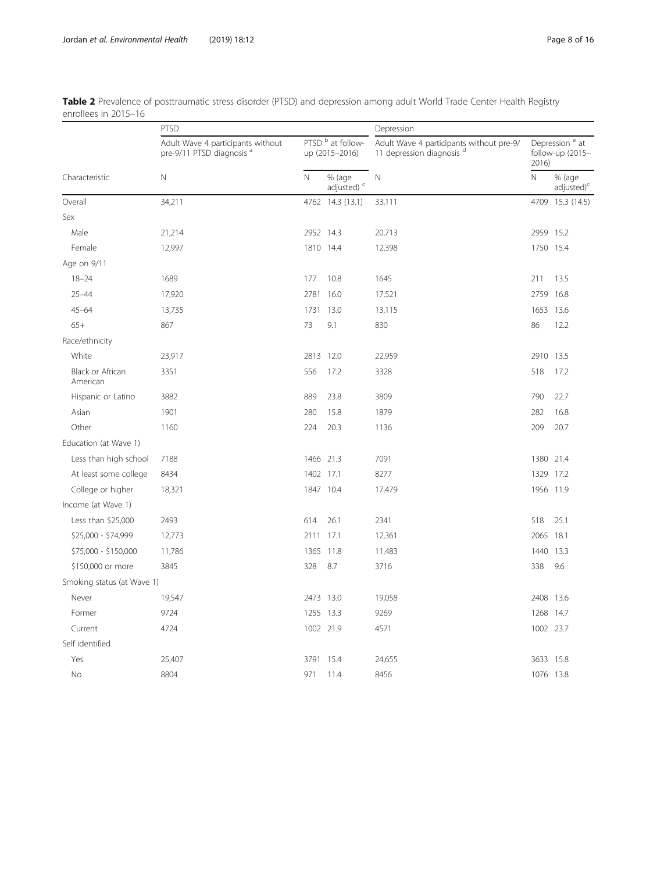|                              | PTSD                                                                      |             |                                     | Depression                                                            |                         |                                                |
|------------------------------|---------------------------------------------------------------------------|-------------|-------------------------------------|-----------------------------------------------------------------------|-------------------------|------------------------------------------------|
|                              | Adult Wave 4 participants without<br>pre-9/11 PTSD diagnosis <sup>a</sup> |             | PTSD b at follow-<br>up (2015-2016) | Adult Wave 4 participants without pre-9/<br>11 depression diagnosis d | 2016)                   | Depression <sup>e</sup> at<br>follow-up (2015- |
| Characteristic               | $\mathsf{N}$                                                              | $\mathbb N$ | % (age<br>adjusted) <sup>c</sup>    | $\mathbb N$                                                           | $\overline{\mathsf{N}}$ | % (age<br>adjusted) <sup>c</sup>               |
| Overall                      | 34,211                                                                    |             | 4762 14.3 (13.1)                    | 33,111                                                                |                         | 4709 15.3 (14.5)                               |
| Sex                          |                                                                           |             |                                     |                                                                       |                         |                                                |
| Male                         | 21,214                                                                    | 2952 14.3   |                                     | 20,713                                                                | 2959 15.2               |                                                |
| Female                       | 12,997                                                                    | 1810 14.4   |                                     | 12,398                                                                | 1750 15.4               |                                                |
| Age on 9/11                  |                                                                           |             |                                     |                                                                       |                         |                                                |
| $18 - 24$                    | 1689                                                                      | 177         | 10.8                                | 1645                                                                  | 211                     | 13.5                                           |
| $25 - 44$                    | 17,920                                                                    | 2781        | 16.0                                | 17,521                                                                | 2759                    | 16.8                                           |
| $45 - 64$                    | 13,735                                                                    | 1731        | 13.0                                | 13,115                                                                | 1653 13.6               |                                                |
| $65+$                        | 867                                                                       | 73          | 9.1                                 | 830                                                                   | 86                      | 12.2                                           |
| Race/ethnicity               |                                                                           |             |                                     |                                                                       |                         |                                                |
| White                        | 23,917                                                                    | 2813 12.0   |                                     | 22,959                                                                | 2910 13.5               |                                                |
| Black or African<br>American | 3351                                                                      | 556         | 17.2                                | 3328                                                                  | 518                     | 17.2                                           |
| Hispanic or Latino           | 3882                                                                      | 889         | 23.8                                | 3809                                                                  | 790                     | 22.7                                           |
| Asian                        | 1901                                                                      | 280         | 15.8                                | 1879                                                                  | 282                     | 16.8                                           |
| Other                        | 1160                                                                      | 224         | 20.3                                | 1136                                                                  | 209                     | 20.7                                           |
| Education (at Wave 1)        |                                                                           |             |                                     |                                                                       |                         |                                                |
| Less than high school        | 7188                                                                      | 1466        | 21.3                                | 7091                                                                  | 1380 21.4               |                                                |
| At least some college        | 8434                                                                      | 1402        | 17.1                                | 8277                                                                  | 1329                    | 17.2                                           |
| College or higher            | 18,321                                                                    | 1847 10.4   |                                     | 17,479                                                                | 1956 11.9               |                                                |
| Income (at Wave 1)           |                                                                           |             |                                     |                                                                       |                         |                                                |
| Less than \$25,000           | 2493                                                                      | 614         | 26.1                                | 2341                                                                  | 518                     | 25.1                                           |
| \$25,000 - \$74,999          | 12,773                                                                    | 2111        | 17.1                                | 12,361                                                                | 2065                    | 18.1                                           |
| \$75,000 - \$150,000         | 11,786                                                                    | 1365        | 11.8                                | 11,483                                                                | 1440                    | 13.3                                           |
| \$150,000 or more            | 3845                                                                      | 328         | 8.7                                 | 3716                                                                  | 338                     | 9.6                                            |
| Smoking status (at Wave 1)   |                                                                           |             |                                     |                                                                       |                         |                                                |
| Never                        | 19,547                                                                    | 2473 13.0   |                                     | 19,058                                                                | 2408 13.6               |                                                |
| Former                       | 9724                                                                      | 1255 13.3   |                                     | 9269                                                                  | 1268 14.7               |                                                |
| Current                      | 4724                                                                      | 1002 21.9   |                                     | 4571                                                                  | 1002 23.7               |                                                |
| Self identified              |                                                                           |             |                                     |                                                                       |                         |                                                |
| Yes                          | 25,407                                                                    | 3791 15.4   |                                     | 24,655                                                                | 3633 15.8               |                                                |
| No                           | 8804                                                                      | 971         | 11.4                                | 8456                                                                  | 1076 13.8               |                                                |

<span id="page-7-0"></span>

|                      | Table 2 Prevalence of posttraumatic stress disorder (PTSD) and depression among adult World Trade Center Health Registry |  |  |  |
|----------------------|--------------------------------------------------------------------------------------------------------------------------|--|--|--|
| enrollees in 2015–16 |                                                                                                                          |  |  |  |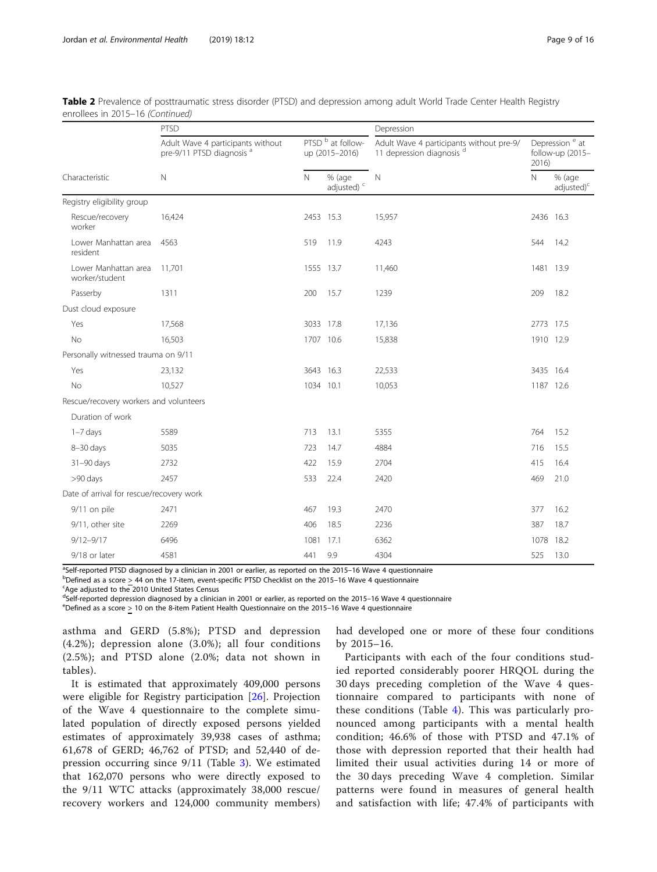| Table 2 Prevalence of posttraumatic stress disorder (PTSD) and depression among adult World Trade Center Health Registry |  |  |
|--------------------------------------------------------------------------------------------------------------------------|--|--|
| enrollees in 2015-16 (Continued)                                                                                         |  |  |

|                                          | PTSD                                                                      |           |                                                | Depression                                                            |              |                                                |
|------------------------------------------|---------------------------------------------------------------------------|-----------|------------------------------------------------|-----------------------------------------------------------------------|--------------|------------------------------------------------|
|                                          | Adult Wave 4 participants without<br>pre-9/11 PTSD diagnosis <sup>a</sup> |           | PTSD <sup>b</sup> at follow-<br>up (2015-2016) | Adult Wave 4 participants without pre-9/<br>11 depression diagnosis d | 2016)        | Depression <sup>e</sup> at<br>follow-up (2015- |
| Characteristic                           | $\mathbb N$                                                               | N         | % (age<br>adjusted) <sup>c</sup>               | $\mathbb N$                                                           | $\mathsf{N}$ | % (age<br>$adjusted$ <sup>c</sup>              |
| Registry eligibility group               |                                                                           |           |                                                |                                                                       |              |                                                |
| Rescue/recovery<br>worker                | 16,424                                                                    | 2453 15.3 |                                                | 15,957                                                                | 2436 16.3    |                                                |
| Lower Manhattan area<br>resident         | 4563                                                                      | 519       | 11.9                                           | 4243                                                                  | 544          | 14.2                                           |
| Lower Manhattan area<br>worker/student   | 11,701                                                                    | 1555 13.7 |                                                | 11,460                                                                | 1481 13.9    |                                                |
| Passerby                                 | 1311                                                                      | 200       | 15.7                                           | 1239                                                                  | 209          | 18.2                                           |
| Dust cloud exposure                      |                                                                           |           |                                                |                                                                       |              |                                                |
| Yes                                      | 17,568                                                                    | 3033 17.8 |                                                | 17,136                                                                | 2773 17.5    |                                                |
| No                                       | 16,503                                                                    | 1707 10.6 |                                                | 15,838                                                                | 1910 12.9    |                                                |
| Personally witnessed trauma on 9/11      |                                                                           |           |                                                |                                                                       |              |                                                |
| Yes                                      | 23,132                                                                    | 3643 16.3 |                                                | 22,533                                                                | 3435 16.4    |                                                |
| No                                       | 10,527                                                                    | 1034 10.1 |                                                | 10,053                                                                | 1187 12.6    |                                                |
| Rescue/recovery workers and volunteers   |                                                                           |           |                                                |                                                                       |              |                                                |
| Duration of work                         |                                                                           |           |                                                |                                                                       |              |                                                |
| $1 - 7$ days                             | 5589                                                                      | 713       | 13.1                                           | 5355                                                                  | 764          | 15.2                                           |
| $8 - 30$ days                            | 5035                                                                      | 723       | 14.7                                           | 4884                                                                  | 716          | 15.5                                           |
| 31-90 days                               | 2732                                                                      | 422       | 15.9                                           | 2704                                                                  | 415          | 16.4                                           |
| >90 days                                 | 2457                                                                      | 533       | 22.4                                           | 2420                                                                  | 469          | 21.0                                           |
| Date of arrival for rescue/recovery work |                                                                           |           |                                                |                                                                       |              |                                                |
| 9/11 on pile                             | 2471                                                                      | 467       | 19.3                                           | 2470                                                                  | 377          | 16.2                                           |
| 9/11, other site                         | 2269                                                                      | 406       | 18.5                                           | 2236                                                                  | 387          | 18.7                                           |
| $9/12 - 9/17$                            | 6496                                                                      | 1081      | 17.1                                           | 6362                                                                  | 1078         | 18.2                                           |
| 9/18 or later                            | 4581                                                                      | 441       | 9.9                                            | 4304                                                                  | 525          | 13.0                                           |

<sup>a</sup>Self-reported PTSD diagnosed by a clinician in 2001 or earlier, as reported on the 2015–16 Wave 4 questionnaire<br>PDofined as a score > 44 on the 17 item ovent specific PTSD Checklist on the 2015–16 Wave 4 questionnaire

 $b$ Defined as a score  $\geq$  44 on the 17-item, event-specific PTSD Checklist on the 2015–16 Wave 4 questionnaire

Age adjusted to the 2010 United States Census

delf-reported depression diagnosed by a clinician in 2001 or earlier, as reported on the 2015–16 Wave 4 questionnaire<br>EDefined as a score > 10 on the 8 item Patient Health Questionnaire en the 2015–16 Wave 4 questionnaire

 $e^{\theta}$  Pefined as a score  $\geq 10$  on the 8-item Patient Health Questionnaire on the 2015–16 Wave 4 questionnaire

asthma and GERD (5.8%); PTSD and depression (4.2%); depression alone (3.0%); all four conditions (2.5%); and PTSD alone (2.0%; data not shown in tables).

It is estimated that approximately 409,000 persons were eligible for Registry participation [\[26](#page-15-0)]. Projection of the Wave 4 questionnaire to the complete simulated population of directly exposed persons yielded estimates of approximately 39,938 cases of asthma; 61,678 of GERD; 46,762 of PTSD; and 52,440 of depression occurring since 9/11 (Table [3](#page-9-0)). We estimated that 162,070 persons who were directly exposed to the 9/11 WTC attacks (approximately 38,000 rescue/ recovery workers and 124,000 community members)

had developed one or more of these four conditions by 2015–16.

Participants with each of the four conditions studied reported considerably poorer HRQOL during the 30 days preceding completion of the Wave 4 questionnaire compared to participants with none of these conditions (Table [4](#page-10-0)). This was particularly pronounced among participants with a mental health condition; 46.6% of those with PTSD and 47.1% of those with depression reported that their health had limited their usual activities during 14 or more of the 30 days preceding Wave 4 completion. Similar patterns were found in measures of general health and satisfaction with life; 47.4% of participants with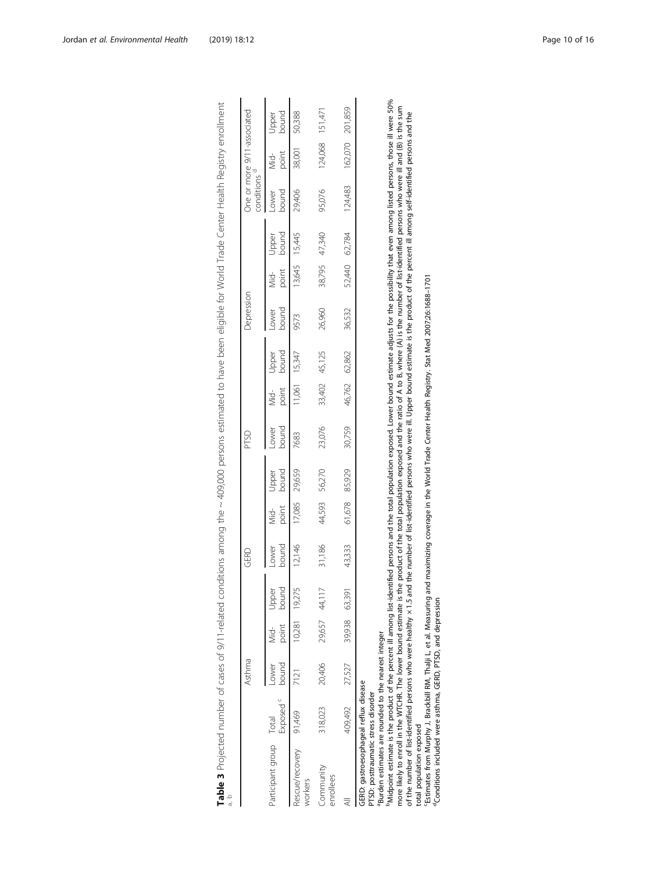|                                                                                                                                                                                                                                                                                                                                                                                                                                                                                                                                                                                                                                                                                                                                                                                                                                              |                            | Asthma      |                   |                | GERD                  |                 |                | PTSD          |        |                | Depression    |        |                | conditions <sup>a</sup> | One or more 9/11-associated |                 |
|----------------------------------------------------------------------------------------------------------------------------------------------------------------------------------------------------------------------------------------------------------------------------------------------------------------------------------------------------------------------------------------------------------------------------------------------------------------------------------------------------------------------------------------------------------------------------------------------------------------------------------------------------------------------------------------------------------------------------------------------------------------------------------------------------------------------------------------------|----------------------------|-------------|-------------------|----------------|-----------------------|-----------------|----------------|---------------|--------|----------------|---------------|--------|----------------|-------------------------|-----------------------------|-----------------|
| Participant group Total                                                                                                                                                                                                                                                                                                                                                                                                                                                                                                                                                                                                                                                                                                                                                                                                                      | Exposed <sup>c</sup> bound | <b>DWer</b> | point<br>id<br>Si | Upper<br>bound | bound<br><b>DWell</b> | point<br>.<br>S | bound<br>Jpper | bound<br>ower | point  | bound<br>Joper | bound<br>ower | point  | bound<br>Jpper | bound<br>ower           | point<br>ò<br>≷             | pamoc<br>Joper  |
| Rescue/recovery 91,469<br>workers                                                                                                                                                                                                                                                                                                                                                                                                                                                                                                                                                                                                                                                                                                                                                                                                            |                            | 7121        |                   | 10,281 19,275  | 12,146                | 17,085          | 29,659         | 7683          |        | 1,061 15,347   | 9573          |        | 13,645 15,445  | 29,406                  | 38,001                      | 50,388          |
| Community<br>enrollees                                                                                                                                                                                                                                                                                                                                                                                                                                                                                                                                                                                                                                                                                                                                                                                                                       | 318,023                    | 20,406      | 29,657 44,117     |                | 31,186                | 44,593          | 56,270         | 23,076        | 33,402 | 45,125         | 26,960        | 38,795 | 47,340         | 95,076                  |                             | 124,068 151,471 |
|                                                                                                                                                                                                                                                                                                                                                                                                                                                                                                                                                                                                                                                                                                                                                                                                                                              | 409,492                    | 27,527      | 39,938 63,391     |                | 43,333                | 61,678          | 85,929         | 30,759        | 46,762 | 62,862         | 36,532        | 52,440 | 62,784         | 124,483                 |                             | 162,070 201,859 |
| Midpoint estimate is the product of the percent ill among list-identified persons and the total population exposed. Lower bound estimate adjusts for the possibility that even among listed persons, those ill were 50%<br>more likely to enroll in the WTCHR. The lower bound estimate is the product of the total population exposed and the ratio of A to B, where (A) is the number of list-identified persons who were ill and (B) is the sum<br>of the number of list-identified persons who were healthy ×1.5 and the number of list-identified persons who were iil. Upper bound estimate is the product of the percent iil among self-identified persons and the<br>Burden estimates are rounded to the nearest integer<br>GERD: qastroesophaqeal reflux disease<br>PTSD: posttraumatic stress disorder<br>total population exposed |                            |             |                   |                |                       |                 |                |               |        |                |               |        |                |                         |                             |                 |

cEstimates from Murphy J, Brackbill RM, Thalji L, et al. Measuring and maximizing coverage in the World Trade Center Health Registry. Stat Med 2007;26:1688–1701

"Estimates from Murphy J, Brackbill RM, Thalji L, et al. Measuring and maximizing coverage in the World Trade Center Health Registry. Stat Med 2007;26:1688–1701<br>"Conditions included were asthma, GERD, PTSD, and depression <sup>d</sup>Conditions included were asthma, GERD, PTSD, and depression

Table 3 Projected number of cases of 9/11-related conditions among the ~ 409,000 persons estimated to have been eligible for World Trade Center Health Registry enrollment

<span id="page-9-0"></span>Table 3 Projected number of cases of 9/11-related conditions among the ~409,000 persons estimated to have been eligible for World Trade Center Health Registry enrollment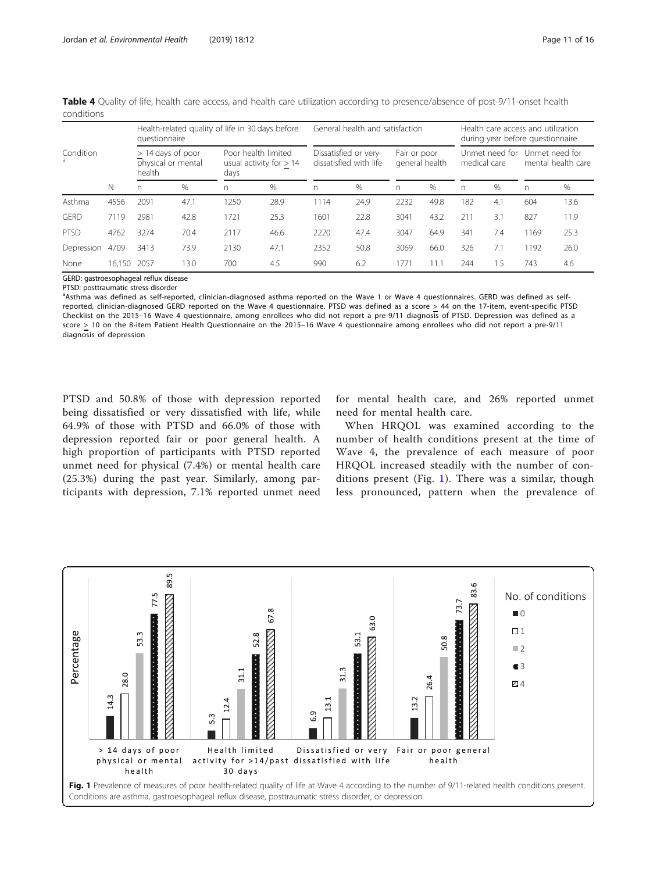|                |        | questionnaire | Health-related quality of life in 30 days before |      |                                                  |      | General health and satisfaction                |              |                |     | Health care access and utilization<br>during year before questionnaire |      |                                      |
|----------------|--------|---------------|--------------------------------------------------|------|--------------------------------------------------|------|------------------------------------------------|--------------|----------------|-----|------------------------------------------------------------------------|------|--------------------------------------|
| Condition<br>a |        | health        | $> 14$ days of poor<br>physical or mental        | days | Poor health limited<br>usual activity for $> 14$ |      | Dissatisfied or very<br>dissatisfied with life | Fair or poor | general health |     | Unmet need for<br>medical care                                         |      | Unmet need for<br>mental health care |
|                | N      | n             | %                                                | n    | $\%$                                             | n    | $\%$                                           | n.           | $\%$           | n   | %                                                                      | n    | $\%$                                 |
| Asthma         | 4556   | 2091          | 47.1                                             | 1250 | 28.9                                             | 1114 | 24.9                                           | 2232         | 49.8           | 182 | 4.1                                                                    | 604  | 13.6                                 |
| GFRD           | 7119   | 2981          | 42.8                                             | 1721 | 25.3                                             | 1601 | 22.8                                           | 3041         | 43.2           | 211 | 3.1                                                                    | 827  | 11.9                                 |
| <b>PTSD</b>    | 4762   | 3274          | 70.4                                             | 2117 | 46.6                                             | 2220 | 47.4                                           | 3047         | 64.9           | 341 | 7.4                                                                    | 1169 | 25.3                                 |
| Depression     | 4709   | 3413          | 73.9                                             | 2130 | 47.1                                             | 2352 | 50.8                                           | 3069         | 66.0           | 326 | 7.1                                                                    | 1192 | 26.0                                 |
| None           | 16.150 | 2057          | 13.0                                             | 700  | 4.5                                              | 990  | 6.2                                            | 1771         | 11.1           | 244 | 1.5                                                                    | 743  | 4.6                                  |

<span id="page-10-0"></span>Table 4 Quality of life, health care access, and health care utilization according to presence/absence of post-9/11-onset health conditions

GERD: gastroesophageal reflux disease

PTSD: posttraumatic stress disorder

a<br>Asthma was defined as self-reported, clinician-diagnosed asthma reported on the Wave 1 or Wave 4 questionnaires. GERD was defined as selfreported, clinician-diagnosed GERD reported on the Wave 4 questionnaire. PTSD was defined as a score  $\geq$  44 on the 17-item, event-specific PTSD Checklist on the 2015–16 Wave 4 questionnaire, among enrollees who did not report a pre-9/11 diagnosis of PTSD. Depression was defined as a score > 10 on the 8-item Patient Health Questionnaire on the 2015–16 Wave 4 questionnaire among enrollees who did not report a pre-9/11 diagnosis of depression

PTSD and 50.8% of those with depression reported being dissatisfied or very dissatisfied with life, while 64.9% of those with PTSD and 66.0% of those with depression reported fair or poor general health. A high proportion of participants with PTSD reported unmet need for physical (7.4%) or mental health care (25.3%) during the past year. Similarly, among participants with depression, 7.1% reported unmet need for mental health care, and 26% reported unmet need for mental health care.

When HRQOL was examined according to the number of health conditions present at the time of Wave 4, the prevalence of each measure of poor HRQOL increased steadily with the number of conditions present (Fig. 1). There was a similar, though less pronounced, pattern when the prevalence of

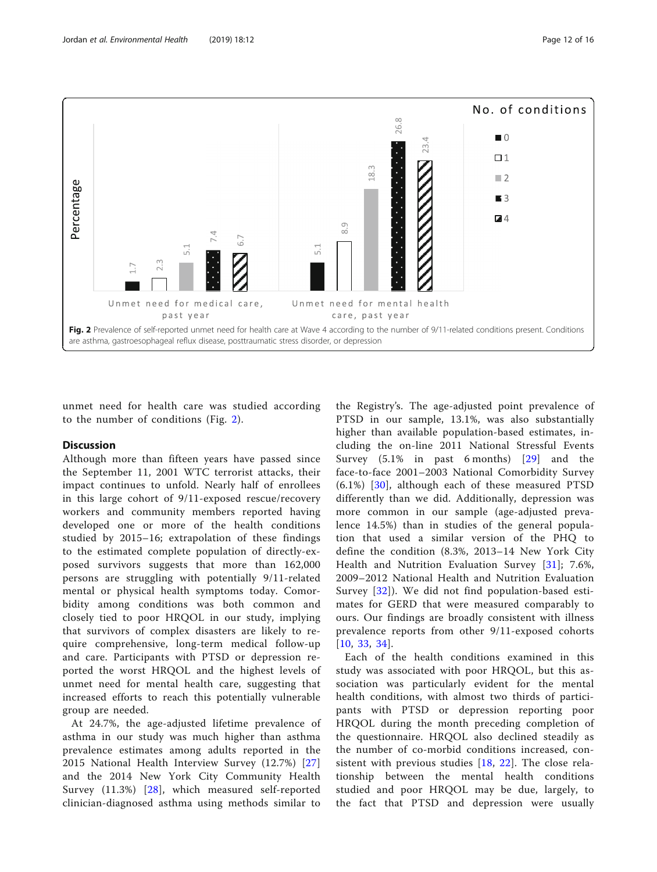

unmet need for health care was studied according to the number of conditions (Fig. 2).

## **Discussion**

Although more than fifteen years have passed since the September 11, 2001 WTC terrorist attacks, their impact continues to unfold. Nearly half of enrollees in this large cohort of 9/11-exposed rescue/recovery workers and community members reported having developed one or more of the health conditions studied by 2015–16; extrapolation of these findings to the estimated complete population of directly-exposed survivors suggests that more than 162,000 persons are struggling with potentially 9/11-related mental or physical health symptoms today. Comorbidity among conditions was both common and closely tied to poor HRQOL in our study, implying that survivors of complex disasters are likely to require comprehensive, long-term medical follow-up and care. Participants with PTSD or depression reported the worst HRQOL and the highest levels of unmet need for mental health care, suggesting that increased efforts to reach this potentially vulnerable group are needed.

At 24.7%, the age-adjusted lifetime prevalence of asthma in our study was much higher than asthma prevalence estimates among adults reported in the 2015 National Health Interview Survey (12.7%) [[27](#page-15-0)] and the 2014 New York City Community Health Survey (11.3%) [[28\]](#page-15-0), which measured self-reported clinician-diagnosed asthma using methods similar to

the Registry's. The age-adjusted point prevalence of PTSD in our sample, 13.1%, was also substantially higher than available population-based estimates, including the on-line 2011 National Stressful Events Survey (5.1% in past 6 months) [[29\]](#page-15-0) and the face-to-face 2001–2003 National Comorbidity Survey  $(6.1\%)$  [\[30\]](#page-15-0), although each of these measured PTSD differently than we did. Additionally, depression was more common in our sample (age-adjusted prevalence 14.5%) than in studies of the general population that used a similar version of the PHQ to define the condition (8.3%, 2013–14 New York City Health and Nutrition Evaluation Survey [[31](#page-15-0)]; 7.6%, 2009–2012 National Health and Nutrition Evaluation Survey [\[32](#page-15-0)]). We did not find population-based estimates for GERD that were measured comparably to ours. Our findings are broadly consistent with illness prevalence reports from other 9/11-exposed cohorts [[10](#page-15-0), [33,](#page-15-0) [34](#page-15-0)].

Each of the health conditions examined in this study was associated with poor HRQOL, but this association was particularly evident for the mental health conditions, with almost two thirds of participants with PTSD or depression reporting poor HRQOL during the month preceding completion of the questionnaire. HRQOL also declined steadily as the number of co-morbid conditions increased, consistent with previous studies [\[18,](#page-15-0) [22](#page-15-0)]. The close relationship between the mental health conditions studied and poor HRQOL may be due, largely, to the fact that PTSD and depression were usually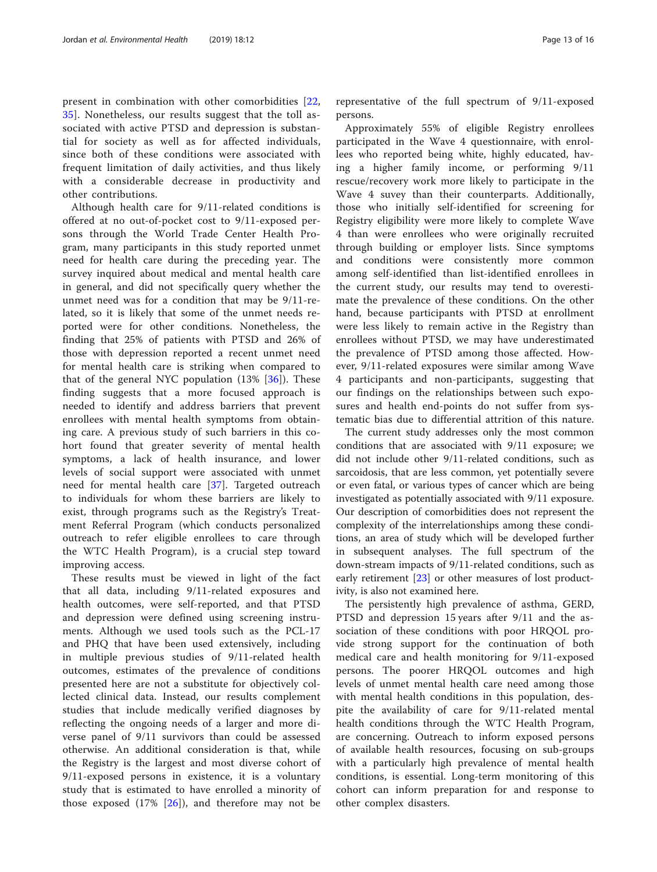present in combination with other comorbidities [\[22](#page-15-0), [35\]](#page-15-0). Nonetheless, our results suggest that the toll associated with active PTSD and depression is substantial for society as well as for affected individuals, since both of these conditions were associated with frequent limitation of daily activities, and thus likely with a considerable decrease in productivity and other contributions.

Although health care for 9/11-related conditions is offered at no out-of-pocket cost to 9/11-exposed persons through the World Trade Center Health Program, many participants in this study reported unmet need for health care during the preceding year. The survey inquired about medical and mental health care in general, and did not specifically query whether the unmet need was for a condition that may be 9/11-related, so it is likely that some of the unmet needs reported were for other conditions. Nonetheless, the finding that 25% of patients with PTSD and 26% of those with depression reported a recent unmet need for mental health care is striking when compared to that of the general NYC population  $(13\% \, 56)$ . These finding suggests that a more focused approach is needed to identify and address barriers that prevent enrollees with mental health symptoms from obtaining care. A previous study of such barriers in this cohort found that greater severity of mental health symptoms, a lack of health insurance, and lower levels of social support were associated with unmet need for mental health care [\[37](#page-15-0)]. Targeted outreach to individuals for whom these barriers are likely to exist, through programs such as the Registry's Treatment Referral Program (which conducts personalized outreach to refer eligible enrollees to care through the WTC Health Program), is a crucial step toward improving access.

These results must be viewed in light of the fact that all data, including 9/11-related exposures and health outcomes, were self-reported, and that PTSD and depression were defined using screening instruments. Although we used tools such as the PCL-17 and PHQ that have been used extensively, including in multiple previous studies of 9/11-related health outcomes, estimates of the prevalence of conditions presented here are not a substitute for objectively collected clinical data. Instead, our results complement studies that include medically verified diagnoses by reflecting the ongoing needs of a larger and more diverse panel of 9/11 survivors than could be assessed otherwise. An additional consideration is that, while the Registry is the largest and most diverse cohort of 9/11-exposed persons in existence, it is a voluntary study that is estimated to have enrolled a minority of those exposed  $(17\% \; [26])$  $(17\% \; [26])$  $(17\% \; [26])$ , and therefore may not be representative of the full spectrum of 9/11-exposed persons.

Approximately 55% of eligible Registry enrollees participated in the Wave 4 questionnaire, with enrollees who reported being white, highly educated, having a higher family income, or performing 9/11 rescue/recovery work more likely to participate in the Wave 4 suvey than their counterparts. Additionally, those who initially self-identified for screening for Registry eligibility were more likely to complete Wave 4 than were enrollees who were originally recruited through building or employer lists. Since symptoms and conditions were consistently more common among self-identified than list-identified enrollees in the current study, our results may tend to overestimate the prevalence of these conditions. On the other hand, because participants with PTSD at enrollment were less likely to remain active in the Registry than enrollees without PTSD, we may have underestimated the prevalence of PTSD among those affected. However, 9/11-related exposures were similar among Wave 4 participants and non-participants, suggesting that our findings on the relationships between such exposures and health end-points do not suffer from systematic bias due to differential attrition of this nature.

The current study addresses only the most common conditions that are associated with 9/11 exposure; we did not include other 9/11-related conditions, such as sarcoidosis, that are less common, yet potentially severe or even fatal, or various types of cancer which are being investigated as potentially associated with 9/11 exposure. Our description of comorbidities does not represent the complexity of the interrelationships among these conditions, an area of study which will be developed further in subsequent analyses. The full spectrum of the down-stream impacts of 9/11-related conditions, such as early retirement [[23](#page-15-0)] or other measures of lost productivity, is also not examined here.

The persistently high prevalence of asthma, GERD, PTSD and depression 15 years after 9/11 and the association of these conditions with poor HRQOL provide strong support for the continuation of both medical care and health monitoring for 9/11-exposed persons. The poorer HRQOL outcomes and high levels of unmet mental health care need among those with mental health conditions in this population, despite the availability of care for 9/11-related mental health conditions through the WTC Health Program, are concerning. Outreach to inform exposed persons of available health resources, focusing on sub-groups with a particularly high prevalence of mental health conditions, is essential. Long-term monitoring of this cohort can inform preparation for and response to other complex disasters.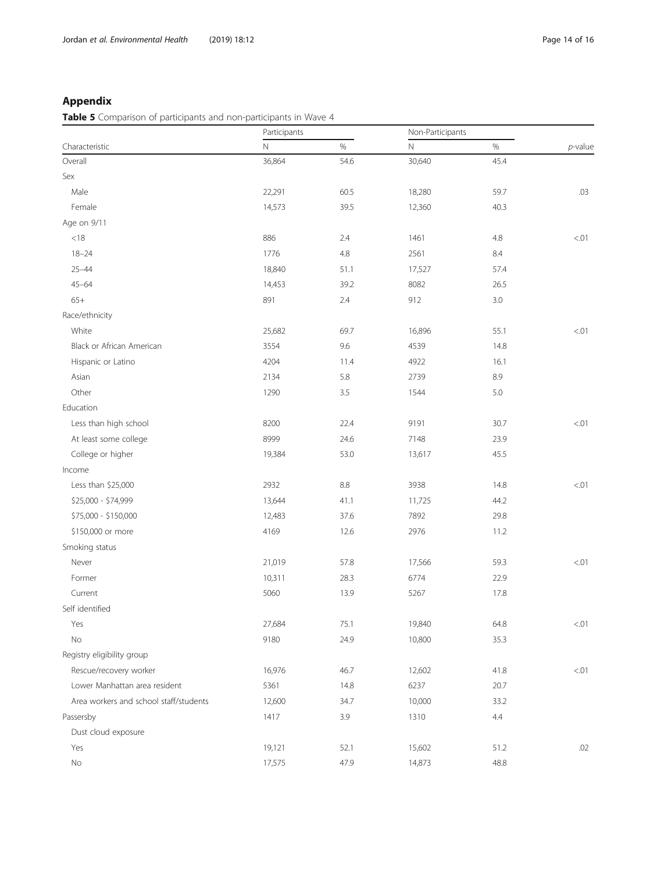## Appendix

Table 5 Comparison of participants and non-participants in Wave 4

|                                        | Participants |      | Non-Participants |         |            |
|----------------------------------------|--------------|------|------------------|---------|------------|
| Characteristic                         | $\mathsf{N}$ | $\%$ | $\mathbb N$      | $\%$    | $p$ -value |
| Overall                                | 36,864       | 54.6 | 30,640           | 45.4    |            |
| Sex                                    |              |      |                  |         |            |
| Male                                   | 22,291       | 60.5 | 18,280           | 59.7    | .03        |
| Female                                 | 14,573       | 39.5 | 12,360           | 40.3    |            |
| Age on 9/11                            |              |      |                  |         |            |
| $<18$                                  | 886          | 2.4  | 1461             | $4.8\,$ | < 01       |
| $18 - 24$                              | 1776         | 4.8  | 2561             | $8.4\,$ |            |
| $25 - 44$                              | 18,840       | 51.1 | 17,527           | 57.4    |            |
| $45 - 64$                              | 14,453       | 39.2 | 8082             | 26.5    |            |
| $65+$                                  | 891          | 2.4  | 912              | 3.0     |            |
| Race/ethnicity                         |              |      |                  |         |            |
| White                                  | 25,682       | 69.7 | 16,896           | 55.1    | < 01       |
| Black or African American              | 3554         | 9.6  | 4539             | 14.8    |            |
| Hispanic or Latino                     | 4204         | 11.4 | 4922             | 16.1    |            |
| Asian                                  | 2134         | 5.8  | 2739             | 8.9     |            |
| Other                                  | 1290         | 3.5  | 1544             | $5.0\,$ |            |
| Education                              |              |      |                  |         |            |
| Less than high school                  | 8200         | 22.4 | 9191             | 30.7    | < 01       |
| At least some college                  | 8999         | 24.6 | 7148             | 23.9    |            |
| College or higher                      | 19,384       | 53.0 | 13,617           | 45.5    |            |
| Income                                 |              |      |                  |         |            |
| Less than \$25,000                     | 2932         | 8.8  | 3938             | 14.8    | < 01       |
| \$25,000 - \$74,999                    | 13,644       | 41.1 | 11,725           | 44.2    |            |
| \$75,000 - \$150,000                   | 12,483       | 37.6 | 7892             | 29.8    |            |
| \$150,000 or more                      | 4169         | 12.6 | 2976             | 11.2    |            |
| Smoking status                         |              |      |                  |         |            |
| Never                                  | 21,019       | 57.8 | 17,566           | 59.3    | < 01       |
| Former                                 | 10,311       | 28.3 | 6774             | 22.9    |            |
| Current                                | 5060         | 13.9 | 5267             | 17.8    |            |
| Self identified                        |              |      |                  |         |            |
| Yes                                    | 27,684       | 75.1 | 19,840           | 64.8    | < 0.01     |
| No                                     | 9180         | 24.9 | 10,800           | 35.3    |            |
| Registry eligibility group             |              |      |                  |         |            |
| Rescue/recovery worker                 | 16,976       | 46.7 | 12,602           | 41.8    | < 01       |
| Lower Manhattan area resident          | 5361         | 14.8 | 6237             | 20.7    |            |
| Area workers and school staff/students | 12,600       | 34.7 | 10,000           | 33.2    |            |
| Passersby                              | 1417         | 3.9  | 1310             | 4.4     |            |
| Dust cloud exposure                    |              |      |                  |         |            |
| Yes                                    | 19,121       | 52.1 | 15,602           | 51.2    | .02        |
| No                                     | 17,575       | 47.9 | 14,873           | 48.8    |            |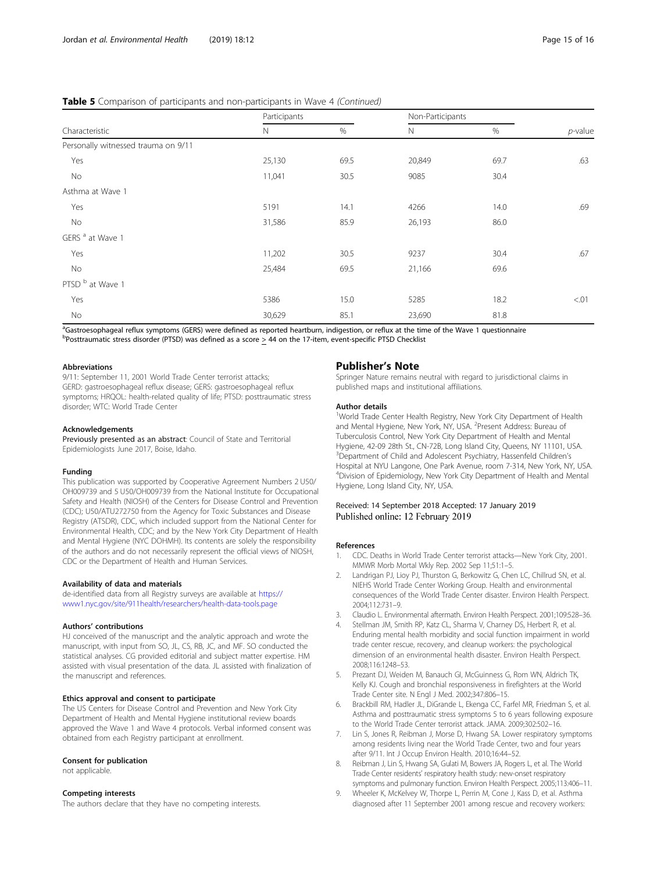## <span id="page-14-0"></span>Table 5 Comparison of participants and non-participants in Wave 4 (Continued)

| Characteristic                      | Participants |      | Non-Participants |      |            |
|-------------------------------------|--------------|------|------------------|------|------------|
|                                     | $\mathsf{N}$ | $\%$ | $\mathbb N$      | %    | $p$ -value |
| Personally witnessed trauma on 9/11 |              |      |                  |      |            |
| Yes                                 | 25,130       | 69.5 | 20,849           | 69.7 | .63        |
| No                                  | 11,041       | 30.5 | 9085             | 30.4 |            |
| Asthma at Wave 1                    |              |      |                  |      |            |
| Yes                                 | 5191         | 14.1 | 4266             | 14.0 | .69        |
| No                                  | 31,586       | 85.9 | 26,193           | 86.0 |            |
| GERS <sup>a</sup> at Wave 1         |              |      |                  |      |            |
| Yes                                 | 11,202       | 30.5 | 9237             | 30.4 | .67        |
| No                                  | 25,484       | 69.5 | 21,166           | 69.6 |            |
| PTSD b at Wave 1                    |              |      |                  |      |            |
| Yes                                 | 5386         | 15.0 | 5285             | 18.2 | < 01       |
| No                                  | 30,629       | 85.1 | 23,690           | 81.8 |            |

acastroesophageal reflux symptoms (GERS) were defined as reported heartburn, indigestion, or reflux at the time of the Wave 1 questionnaire <sup>b</sup>Posttraumatic stress disorder (PTSD) was defined as a score > 44 on the 17-item, event-specific PTSD Checklist

#### Abbreviations

9/11: September 11, 2001 World Trade Center terrorist attacks; GERD: gastroesophageal reflux disease; GERS: gastroesophageal reflux symptoms; HRQOL: health-related quality of life; PTSD: posttraumatic stress disorder; WTC: World Trade Center

#### Acknowledgements

Previously presented as an abstract: Council of State and Territorial Epidemiologists June 2017, Boise, Idaho.

#### Funding

This publication was supported by Cooperative Agreement Numbers 2 U50/ OH009739 and 5 U50/OH009739 from the National Institute for Occupational Safety and Health (NIOSH) of the Centers for Disease Control and Prevention (CDC); U50/ATU272750 from the Agency for Toxic Substances and Disease Registry (ATSDR), CDC, which included support from the National Center for Environmental Health, CDC; and by the New York City Department of Health and Mental Hygiene (NYC DOHMH). Its contents are solely the responsibility of the authors and do not necessarily represent the official views of NIOSH, CDC or the Department of Health and Human Services.

#### Availability of data and materials

de-identified data from all Registry surveys are available at [https://](https://www1.nyc.gov/site/911health/researchers/health-data-tools.page) [www1.nyc.gov/site/911health/researchers/health-data-tools.page](https://www1.nyc.gov/site/911health/researchers/health-data-tools.page)

#### Authors' contributions

HJ conceived of the manuscript and the analytic approach and wrote the manuscript, with input from SO, JL, CS, RB, JC, and MF. SO conducted the statistical analyses. CG provided editorial and subject matter expertise. HM assisted with visual presentation of the data. JL assisted with finalization of the manuscript and references.

#### Ethics approval and consent to participate

The US Centers for Disease Control and Prevention and New York City Department of Health and Mental Hygiene institutional review boards approved the Wave 1 and Wave 4 protocols. Verbal informed consent was obtained from each Registry participant at enrollment.

#### Consent for publication

not applicable.

#### Competing interests

The authors declare that they have no competing interests.

### Publisher's Note

Springer Nature remains neutral with regard to jurisdictional claims in published maps and institutional affiliations.

#### Author details

<sup>1</sup>World Trade Center Health Registry, New York City Department of Health and Mental Hygiene, New York, NY, USA. <sup>2</sup>Present Address: Bureau of Tuberculosis Control, New York City Department of Health and Mental Hygiene, 42-09 28th St., CN-72B, Long Island City, Queens, NY 11101, USA. <sup>3</sup>Department of Child and Adolescent Psychiatry, Hassenfeld Children's Hospital at NYU Langone, One Park Avenue, room 7-314, New York, NY, USA. 4 Division of Epidemiology, New York City Department of Health and Mental Hygiene, Long Island City, NY, USA.

## Received: 14 September 2018 Accepted: 17 January 2019 Published online: 12 February 2019

#### References

- 1. CDC. Deaths in World Trade Center terrorist attacks—New York City, 2001. MMWR Morb Mortal Wkly Rep. 2002 Sep 11;51:1–5.
- Landrigan PJ, Lioy PJ, Thurston G, Berkowitz G, Chen LC, Chillrud SN, et al. NIEHS World Trade Center Working Group. Health and environmental consequences of the World Trade Center disaster. Environ Health Perspect. 2004;112:731–9.
- 3. Claudio L. Environmental aftermath. Environ Health Perspect. 2001;109:528–36.
- Stellman JM, Smith RP, Katz CL, Sharma V, Charney DS, Herbert R, et al. Enduring mental health morbidity and social function impairment in world trade center rescue, recovery, and cleanup workers: the psychological dimension of an environmental health disaster. Environ Health Perspect. 2008;116:1248–53.
- Prezant DJ, Weiden M, Banauch GI, McGuinness G, Rom WN, Aldrich TK, Kelly KJ. Cough and bronchial responsiveness in firefighters at the World Trade Center site. N Engl J Med. 2002;347:806–15.
- 6. Brackbill RM, Hadler JL, DiGrande L, Ekenga CC, Farfel MR, Friedman S, et al. Asthma and posttraumatic stress symptoms 5 to 6 years following exposure to the World Trade Center terrorist attack. JAMA. 2009;302:502–16.
- 7. Lin S, Jones R, Reibman J, Morse D, Hwang SA. Lower respiratory symptoms among residents living near the World Trade Center, two and four years after 9/11. Int J Occup Environ Health. 2010;16:44–52.
- Reibman J, Lin S, Hwang SA, Gulati M, Bowers JA, Rogers L, et al. The World Trade Center residents' respiratory health study: new-onset respiratory symptoms and pulmonary function. Environ Health Perspect. 2005;113:406–11.
- 9. Wheeler K, McKelvey W, Thorpe L, Perrin M, Cone J, Kass D, et al. Asthma diagnosed after 11 September 2001 among rescue and recovery workers: